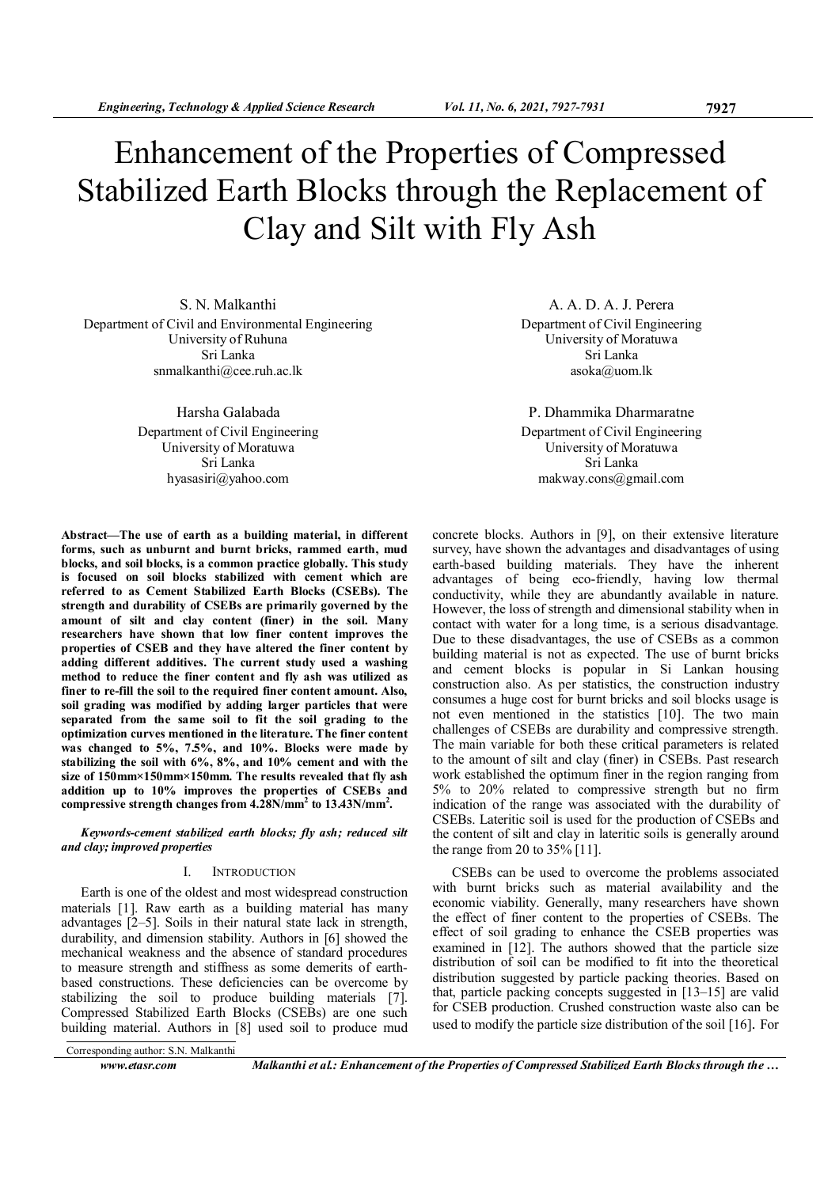# Enhancement of the Properties of Compressed Stabilized Earth Blocks through the Replacement of Clay and Silt with Fly Ash

S. N. Malkanthi Department of Civil and Environmental Engineering University of Ruhuna Sri Lanka snmalkanthi@cee.ruh.ac.lk

> Harsha Galabada Department of Civil Engineering University of Moratuwa Sri Lanka hyasasiri@yahoo.com

Abstract—The use of earth as a building material, in different forms, such as unburnt and burnt bricks, rammed earth, mud blocks, and soil blocks, is a common practice globally. This study is focused on soil blocks stabilized with cement which are referred to as Cement Stabilized Earth Blocks (CSEBs). The strength and durability of CSEBs are primarily governed by the amount of silt and clay content (finer) in the soil. Many researchers have shown that low finer content improves the properties of CSEB and they have altered the finer content by adding different additives. The current study used a washing method to reduce the finer content and fly ash was utilized as finer to re-fill the soil to the required finer content amount. Also, soil grading was modified by adding larger particles that were separated from the same soil to fit the soil grading to the optimization curves mentioned in the literature. The finer content was changed to 5%, 7.5%, and 10%. Blocks were made by stabilizing the soil with 6%, 8%, and 10% cement and with the size of 150mm×150mm×150mm. The results revealed that fly ash addition up to 10% improves the properties of CSEBs and compressive strength changes from  $4.28$ N/mm<sup>2</sup> to  $13.43$ N/mm<sup>2</sup>.

Keywords-cement stabilized earth blocks; fly ash; reduced silt and clay; improved properties

## I. INTRODUCTION

Earth is one of the oldest and most widespread construction materials [1]. Raw earth as a building material has many advantages [2–5]. Soils in their natural state lack in strength, durability, and dimension stability. Authors in [6] showed the mechanical weakness and the absence of standard procedures to measure strength and stiffness as some demerits of earthbased constructions. These deficiencies can be overcome by stabilizing the soil to produce building materials [7]. Compressed Stabilized Earth Blocks (CSEBs) are one such building material. Authors in [8] used soil to produce mud

A. A. D. A. J. Perera Department of Civil Engineering University of Moratuwa Sri Lanka asoka@uom.lk

P. Dhammika Dharmaratne Department of Civil Engineering University of Moratuwa Sri Lanka makway.cons@gmail.com

concrete blocks. Authors in [9], on their extensive literature survey, have shown the advantages and disadvantages of using earth-based building materials. They have the inherent advantages of being eco-friendly, having low thermal conductivity, while they are abundantly available in nature. However, the loss of strength and dimensional stability when in contact with water for a long time, is a serious disadvantage. Due to these disadvantages, the use of CSEBs as a common building material is not as expected. The use of burnt bricks and cement blocks is popular in Si Lankan housing construction also. As per statistics, the construction industry consumes a huge cost for burnt bricks and soil blocks usage is not even mentioned in the statistics [10]. The two main challenges of CSEBs are durability and compressive strength. The main variable for both these critical parameters is related to the amount of silt and clay (finer) in CSEBs. Past research work established the optimum finer in the region ranging from 5% to 20% related to compressive strength but no firm indication of the range was associated with the durability of CSEBs. Lateritic soil is used for the production of CSEBs and the content of silt and clay in lateritic soils is generally around the range from 20 to 35% [11].

CSEBs can be used to overcome the problems associated with burnt bricks such as material availability and the economic viability. Generally, many researchers have shown the effect of finer content to the properties of CSEBs. The effect of soil grading to enhance the CSEB properties was examined in [12]. The authors showed that the particle size distribution of soil can be modified to fit into the theoretical distribution suggested by particle packing theories. Based on that, particle packing concepts suggested in [13–15] are valid for CSEB production. Crushed construction waste also can be used to modify the particle size distribution of the soil [16]. For

Corresponding author: S.N. Malkanthi

www.etasr.com Malkanthi et al.: Enhancement of the Properties of Compressed Stabilized Earth Blocks through the ...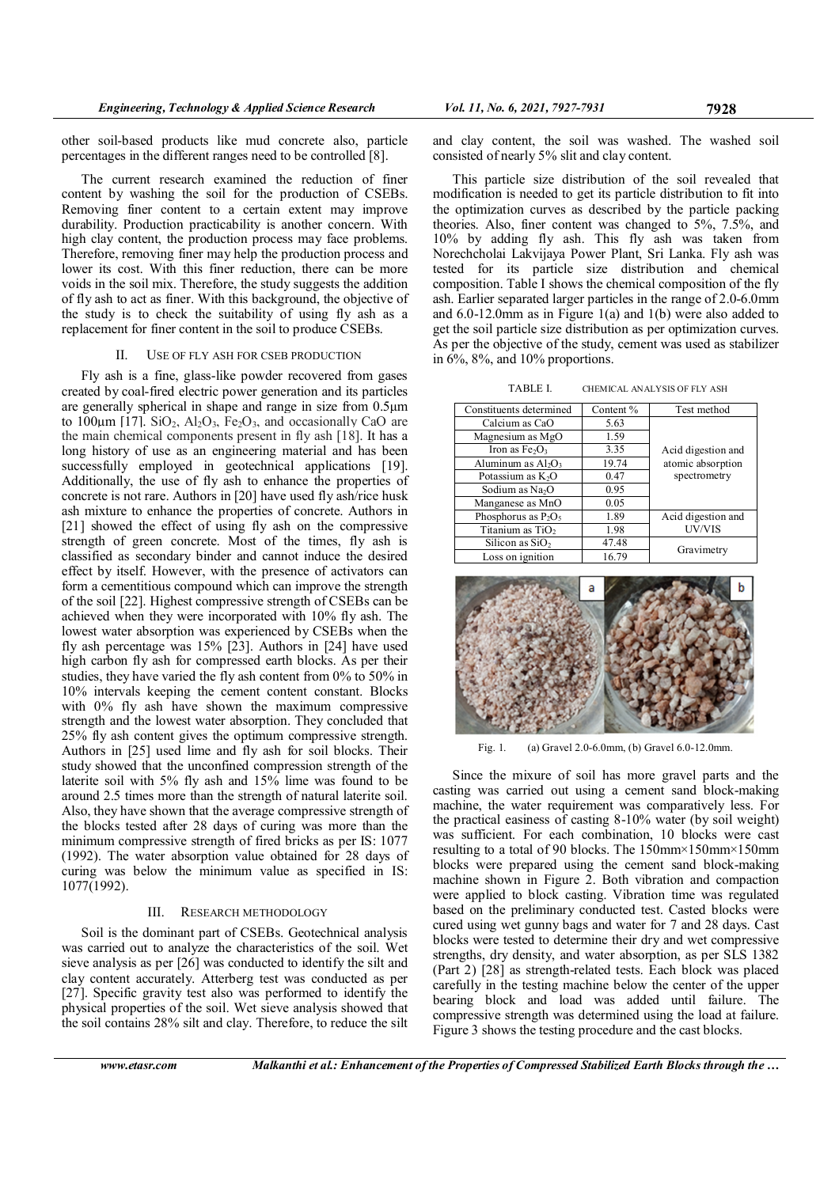other soil-based products like mud concrete also, particle percentages in the different ranges need to be controlled [8].

The current research examined the reduction of finer content by washing the soil for the production of CSEBs. Removing finer content to a certain extent may improve durability. Production practicability is another concern. With high clay content, the production process may face problems. Therefore, removing finer may help the production process and lower its cost. With this finer reduction, there can be more voids in the soil mix. Therefore, the study suggests the addition of fly ash to act as finer. With this background, the objective of the study is to check the suitability of using fly ash as a replacement for finer content in the soil to produce CSEBs.

#### II. USE OF FLY ASH FOR CSEB PRODUCTION

Fly ash is a fine, glass-like powder recovered from gases created by coal-fired electric power generation and its particles are generally spherical in shape and range in size from 0.5µm to 100 $\mu$ m [17]. SiO<sub>2</sub>, Al<sub>2</sub>O<sub>3</sub>, Fe<sub>2</sub>O<sub>3</sub>, and occasionally CaO are the main chemical components present in fly ash [18]. It has a long history of use as an engineering material and has been successfully employed in geotechnical applications [19]. Additionally, the use of fly ash to enhance the properties of concrete is not rare. Authors in [20] have used fly ash/rice husk ash mixture to enhance the properties of concrete. Authors in [21] showed the effect of using fly ash on the compressive strength of green concrete. Most of the times, fly ash is classified as secondary binder and cannot induce the desired effect by itself. However, with the presence of activators can form a cementitious compound which can improve the strength of the soil [22]. Highest compressive strength of CSEBs can be achieved when they were incorporated with 10% fly ash. The lowest water absorption was experienced by CSEBs when the fly ash percentage was 15% [23]. Authors in [24] have used high carbon fly ash for compressed earth blocks. As per their studies, they have varied the fly ash content from 0% to 50% in 10% intervals keeping the cement content constant. Blocks with 0% fly ash have shown the maximum compressive strength and the lowest water absorption. They concluded that 25% fly ash content gives the optimum compressive strength. Authors in [25] used lime and fly ash for soil blocks. Their study showed that the unconfined compression strength of the laterite soil with 5% fly ash and 15% lime was found to be around 2.5 times more than the strength of natural laterite soil. Also, they have shown that the average compressive strength of the blocks tested after 28 days of curing was more than the minimum compressive strength of fired bricks as per IS: 1077 (1992). The water absorption value obtained for 28 days of curing was below the minimum value as specified in IS: 1077(1992).

#### III. RESEARCH METHODOLOGY

Soil is the dominant part of CSEBs. Geotechnical analysis was carried out to analyze the characteristics of the soil. Wet sieve analysis as per [26] was conducted to identify the silt and clay content accurately. Atterberg test was conducted as per [27]. Specific gravity test also was performed to identify the physical properties of the soil. Wet sieve analysis showed that the soil contains 28% silt and clay. Therefore, to reduce the silt

and clay content, the soil was washed. The washed soil consisted of nearly 5% slit and clay content.

This particle size distribution of the soil revealed that modification is needed to get its particle distribution to fit into the optimization curves as described by the particle packing theories. Also, finer content was changed to 5%, 7.5%, and 10% by adding fly ash. This fly ash was taken from Norechcholai Lakvijaya Power Plant, Sri Lanka. Fly ash was tested for its particle size distribution and chemical composition. Table I shows the chemical composition of the fly ash. Earlier separated larger particles in the range of 2.0-6.0mm and 6.0-12.0mm as in Figure 1(a) and 1(b) were also added to get the soil particle size distribution as per optimization curves. As per the objective of the study, cement was used as stabilizer in 6%, 8%, and 10% proportions.

TABLE I. CHEMICAL ANALYSIS OF FLY ASH

| Constituents determined     | Content % | Test method                             |  |  |
|-----------------------------|-----------|-----------------------------------------|--|--|
| Calcium as CaO              | 5.63      |                                         |  |  |
| Magnesium as MgO            | 1.59      |                                         |  |  |
| Iron as $Fe2O3$             | 3.35      | Acid digestion and<br>atomic absorption |  |  |
| Aluminum as $Al_2O_3$       | 19.74     |                                         |  |  |
| Potassium as $K_2O$         | 0.47      | spectrometry                            |  |  |
| Sodium as Na <sub>2</sub> O | 0.95      |                                         |  |  |
| Manganese as MnO            | 0.05      |                                         |  |  |
| Phosphorus as $P_2O_5$      | 1.89      | Acid digestion and                      |  |  |
| Titanium as $TiO2$          | 1.98      | UV/VIS                                  |  |  |
| Silicon as $SiO2$           | 47.48     |                                         |  |  |
| Loss on ignition            | 16.79     | Gravimetry                              |  |  |



Fig. 1. (a) Gravel 2.0-6.0mm, (b) Gravel 6.0-12.0mm.

Since the mixure of soil has more gravel parts and the casting was carried out using a cement sand block-making machine, the water requirement was comparatively less. For the practical easiness of casting 8-10% water (by soil weight) was sufficient. For each combination, 10 blocks were cast resulting to a total of 90 blocks. The 150mm×150mm×150mm blocks were prepared using the cement sand block-making machine shown in Figure 2. Both vibration and compaction were applied to block casting. Vibration time was regulated based on the preliminary conducted test. Casted blocks were cured using wet gunny bags and water for 7 and 28 days. Cast blocks were tested to determine their dry and wet compressive strengths, dry density, and water absorption, as per SLS 1382 (Part 2) [28] as strength-related tests. Each block was placed carefully in the testing machine below the center of the upper bearing block and load was added until failure. The compressive strength was determined using the load at failure. Figure 3 shows the testing procedure and the cast blocks.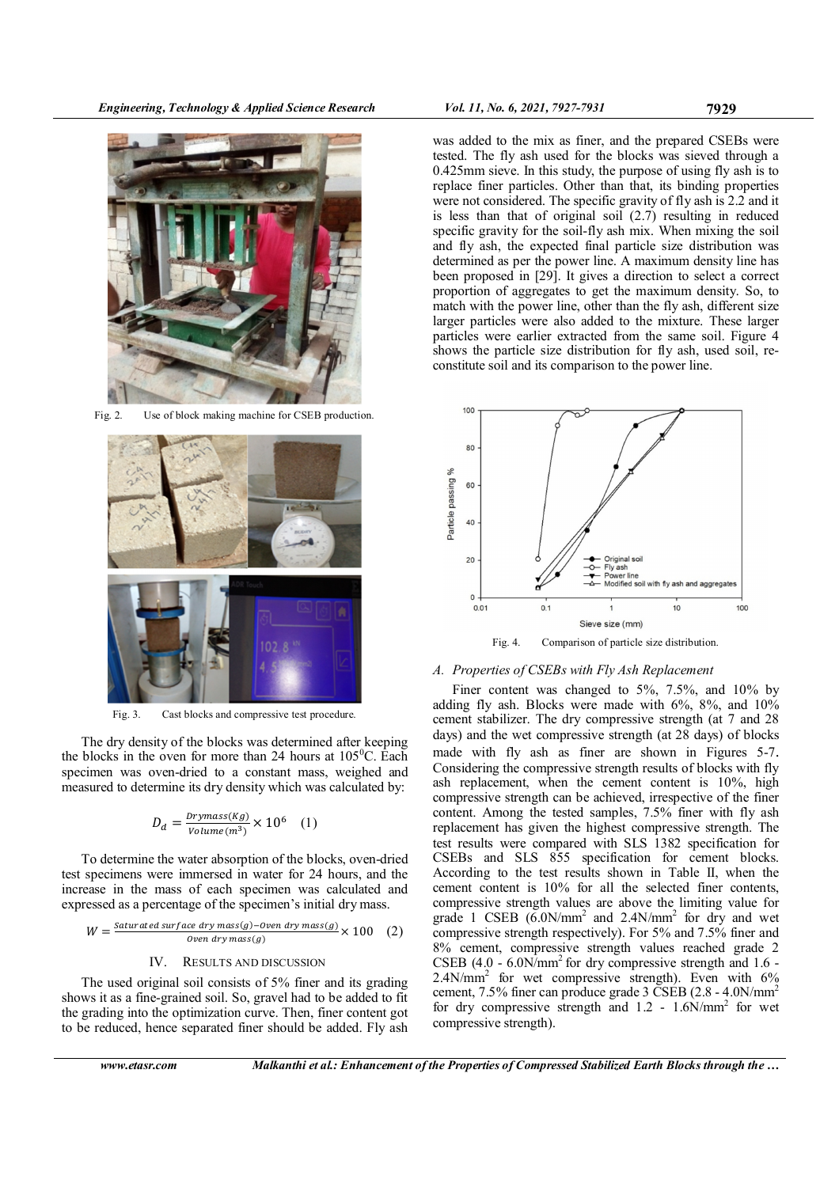

Fig. 2. Use of block making machine for CSEB production.



Fig. 3. Cast blocks and compressive test procedure.

The dry density of the blocks was determined after keeping the blocks in the oven for more than 24 hours at  $105^{\circ}$ C. Each specimen was oven-dried to a constant mass, weighed and measured to determine its dry density which was calculated by:

$$
D_d = \frac{Drymass(Kg)}{Volume(m^3)} \times 10^6 \quad (1)
$$

To determine the water absorption of the blocks, oven-dried test specimens were immersed in water for 24 hours, and the increase in the mass of each specimen was calculated and expressed as a percentage of the specimen's initial dry mass.

$$
W = \frac{\text{Saturated surface dry mass}(g) - \text{oven dry mass}(g)}{\text{oven dry mass}(g)} \times 100 \quad (2)
$$

# IV. RESULTS AND DISCUSSION

The used original soil consists of 5% finer and its grading shows it as a fine-grained soil. So, gravel had to be added to fit the grading into the optimization curve. Then, finer content got to be reduced, hence separated finer should be added. Fly ash

was added to the mix as finer, and the prepared CSEBs were tested. The fly ash used for the blocks was sieved through a 0.425mm sieve. In this study, the purpose of using fly ash is to replace finer particles. Other than that, its binding properties were not considered. The specific gravity of fly ash is 2.2 and it is less than that of original soil (2.7) resulting in reduced specific gravity for the soil-fly ash mix. When mixing the soil and fly ash, the expected final particle size distribution was determined as per the power line. A maximum density line has been proposed in [29]. It gives a direction to select a correct proportion of aggregates to get the maximum density. So, to match with the power line, other than the fly ash, different size larger particles were also added to the mixture. These larger particles were earlier extracted from the same soil. Figure 4 shows the particle size distribution for fly ash, used soil, reconstitute soil and its comparison to the power line.



Fig. 4. Comparison of particle size distribution.

## A. Properties of CSEBs with Fly Ash Replacement

Finer content was changed to 5%, 7.5%, and 10% by adding fly ash. Blocks were made with 6%, 8%, and 10% cement stabilizer. The dry compressive strength (at 7 and 28 days) and the wet compressive strength (at 28 days) of blocks made with fly ash as finer are shown in Figures 5-7. Considering the compressive strength results of blocks with fly ash replacement, when the cement content is 10%, high compressive strength can be achieved, irrespective of the finer content. Among the tested samples, 7.5% finer with fly ash replacement has given the highest compressive strength. The test results were compared with SLS 1382 specification for CSEBs and SLS 855 specification for cement blocks. According to the test results shown in Table II, when the cement content is 10% for all the selected finer contents, compressive strength values are above the limiting value for grade 1 CSEB  $(6.0N/mm^2$  and 2.4N/mm<sup>2</sup> for dry and wet compressive strength respectively). For 5% and 7.5% finer and 8% cement, compressive strength values reached grade 2 CSEB (4.0 -  $6.0$ N/mm<sup>2</sup> for dry compressive strength and 1.6 -2.4N/mm<sup>2</sup> for wet compressive strength). Even with 6% cement, 7.5% finer can produce grade 3 CSEB (2.8 - 4.0N/mm<sup>2</sup> for dry compressive strength and  $1.2 - 1.6N/mm^2$  for wet compressive strength).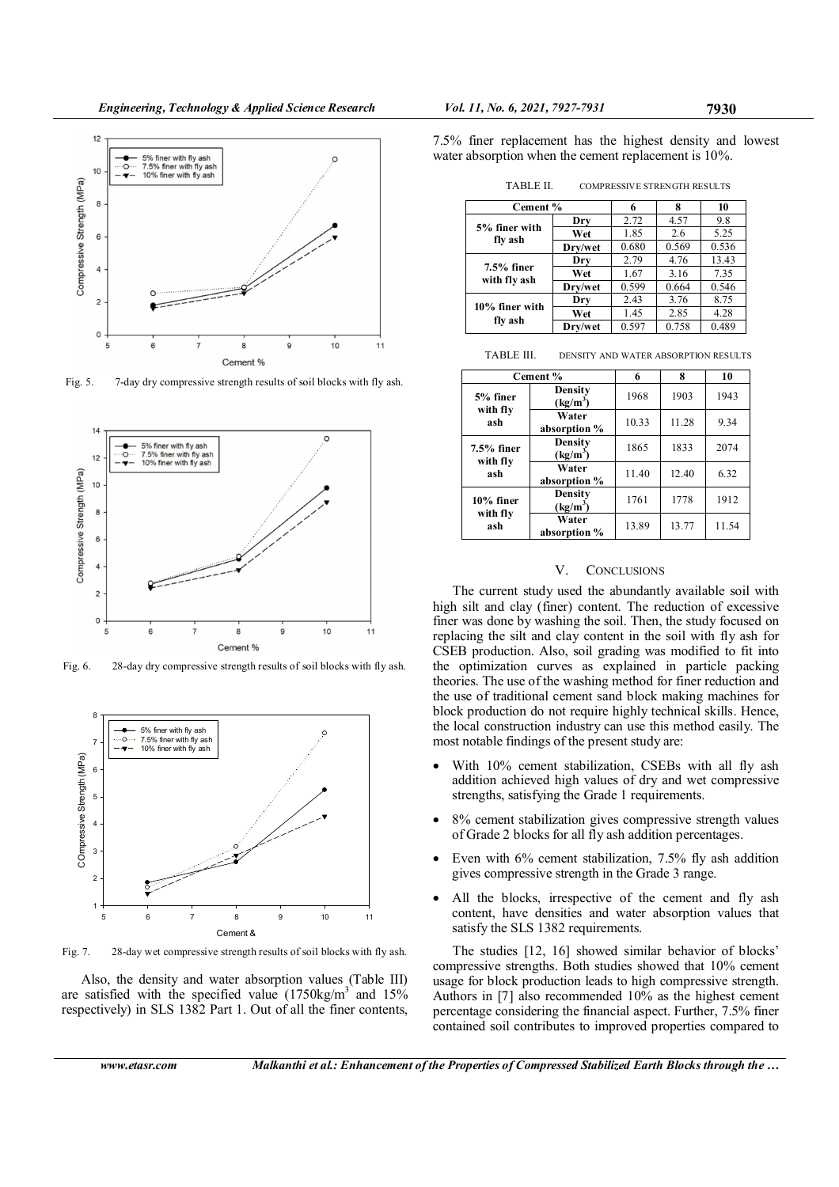

Fig. 5. 7-day dry compressive strength results of soil blocks with fly ash.



Fig. 6. 28-day dry compressive strength results of soil blocks with fly ash.



Fig. 7. 28-day wet compressive strength results of soil blocks with fly ash.

Also, the density and water absorption values (Table III) are satisfied with the specified value  $(1750 \text{kg/m}^3)$  and  $15\%$ respectively) in SLS 1382 Part 1. Out of all the finer contents,

| TABLE II. | <b>COMPRESSIVE STRENGTH RESULTS</b> |  |
|-----------|-------------------------------------|--|
|-----------|-------------------------------------|--|

| Cement %                      |         | 6     | 8     | 10    |
|-------------------------------|---------|-------|-------|-------|
| 5% finer with<br>fly ash      | Dry     | 2.72  | 4.57  | 9.8   |
|                               | Wet     | 1.85  | 2.6   | 5.25  |
|                               | Drv/wet | 0.680 | 0.569 | 0.536 |
| $7.5\%$ finer<br>with fly ash | Dry     | 2.79  | 4.76  | 13.43 |
|                               | Wet     | 1.67  | 3.16  | 7.35  |
|                               | Drv/wet | 0.599 | 0.664 | 0.546 |
| 10% finer with<br>fly ash     | Dry     | 2.43  | 3.76  | 8.75  |
|                               | Wet     | 1.45  | 2.85  | 4.28  |
|                               | Drv/wet | 0.597 | 0.758 | 0.489 |

|                                 | Cement %                        | 6     | 8     | 10    |
|---------------------------------|---------------------------------|-------|-------|-------|
| 5% finer<br>with fly<br>ash     | Density<br>(kg/m <sup>3</sup> ) | 1968  | 1903  | 1943  |
|                                 | Water<br>absorption %           | 10.33 | 11.28 | 9.34  |
| $7.5%$ finer<br>with fly<br>ash | Density<br>(kg/m <sup>3</sup> ) | 1865  | 1833  | 2074  |
|                                 | Water<br>absorption %           | 11.40 | 12.40 | 6.32  |
| $10\%$ finer<br>with fly<br>ash | Density<br>$(kg/m^3)$           | 1761  | 1778  | 1912  |
|                                 | Water<br>absorption %           | 13.89 | 13.77 | 11.54 |

## V. CONCLUSIONS

The current study used the abundantly available soil with high silt and clay (finer) content. The reduction of excessive finer was done by washing the soil. Then, the study focused on replacing the silt and clay content in the soil with fly ash for CSEB production. Also, soil grading was modified to fit into the optimization curves as explained in particle packing theories. The use of the washing method for finer reduction and the use of traditional cement sand block making machines for block production do not require highly technical skills. Hence, the local construction industry can use this method easily. The most notable findings of the present study are:

- With 10% cement stabilization, CSEBs with all fly ash addition achieved high values of dry and wet compressive strengths, satisfying the Grade 1 requirements.
- 8% cement stabilization gives compressive strength values of Grade 2 blocks for all fly ash addition percentages.
- Even with 6% cement stabilization, 7.5% fly ash addition gives compressive strength in the Grade 3 range.
- All the blocks, irrespective of the cement and fly ash content, have densities and water absorption values that satisfy the SLS 1382 requirements.

The studies [12, 16] showed similar behavior of blocks' compressive strengths. Both studies showed that 10% cement usage for block production leads to high compressive strength. Authors in [7] also recommended 10% as the highest cement percentage considering the financial aspect. Further, 7.5% finer contained soil contributes to improved properties compared to